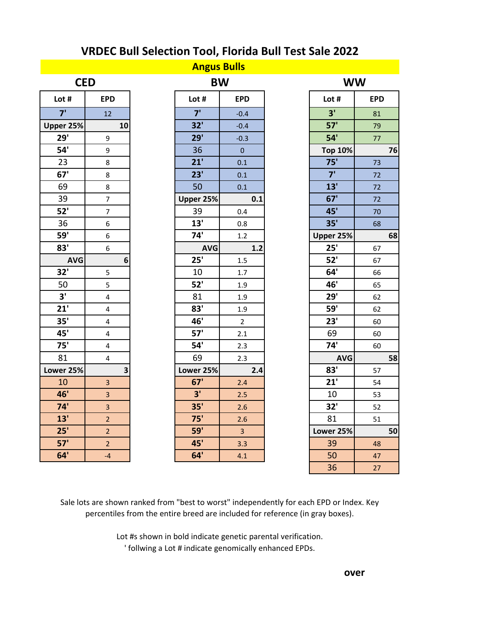|            |                         | <b>Angus Bulls</b> |                |                |            |
|------------|-------------------------|--------------------|----------------|----------------|------------|
| <b>CED</b> |                         |                    | <b>BW</b>      |                | <b>WW</b>  |
| Lot #      | <b>EPD</b>              | Lot #              | <b>EPD</b>     | Lot #          | <b>EPD</b> |
| 7'         | 12                      | 7'                 | $-0.4$         | 3'             | 81         |
| Upper 25%  | 10                      | 32'                | $-0.4$         | 57'            | 79         |
| 29'        | 9                       | 29'                | $-0.3$         | 54'            | 77         |
| 54'        | 9                       | 36                 | $\overline{0}$ | <b>Top 10%</b> |            |
| 23         | 8                       | 21'                | 0.1            | 75'            | 73         |
| 67'        | 8                       | 23'                | 0.1            | 7'             | 72         |
| 69         | 8                       | 50                 | 0.1            | 13'            | 72         |
| 39         | $\overline{7}$          | Upper 25%          | 0.1            | 67'            | 72         |
| 52'        | $\overline{7}$          | 39                 | 0.4            | 45'            | 70         |
| 36         | 6                       | 13'                | 0.8            | 35'            | 68         |
| 59'        | 6                       | 74'                | 1.2            | Upper 25%      |            |
| 83'        | 6                       | <b>AVG</b>         | 1.2            | 25'            | 67         |
| <b>AVG</b> | 6                       | 25'                | 1.5            | 52'            | 67         |
| 32'        | 5                       | 10                 | 1.7            | 64'            | 66         |
| 50         | 5                       | 52'                | 1.9            | 46'            | 65         |
| 3'         | $\overline{\mathbf{4}}$ | 81                 | 1.9            | 29'            | 62         |
| 21'        | $\overline{\mathbf{4}}$ | 83'                | 1.9            | <b>59'</b>     | 62         |
| 35'        | 4                       | 46'                | $\overline{2}$ | 23'            | 60         |
| 45'        | 4                       | 57'                | 2.1            | 69             | 60         |
| 75'        | 4                       | 54'                | 2.3            | 74'            | 60         |
| 81         | 4                       | 69                 | 2.3            | <b>AVG</b>     |            |
| Lower 25%  | $\overline{\mathbf{3}}$ | Lower 25%          | 2.4            | 83'            | 57         |
| 10         | $\overline{3}$          | 67'                | 2.4            | 21'            | 54         |
| 46'        | $\overline{\mathbf{3}}$ | 3'                 | 2.5            | 10             | 53         |
| 74'        | $\overline{3}$          | 35'                | 2.6            | 32'            | 52         |
| 13'        | $\overline{2}$          | 75'                | 2.6            | 81             | 51         |
| 25'        | $\overline{2}$          | <b>59'</b>         | 3 <sup>1</sup> | Lower 25%      |            |
| 57'        | $\overline{2}$          | 45'                | 3.3            | 39             | 48         |
| 64'        | $-4$                    | 64'                | 4.1            | 50             | 47         |
|            |                         |                    |                | 36             | 27         |

Sale lots are shown ranked from "best to worst" independently for each EPD or Index. Key percentiles from the entire breed are included for reference (in gray boxes).

> Lot #s shown in bold indicate genetic parental verification. ' follwing a Lot # indicate genomically enhanced EPDs.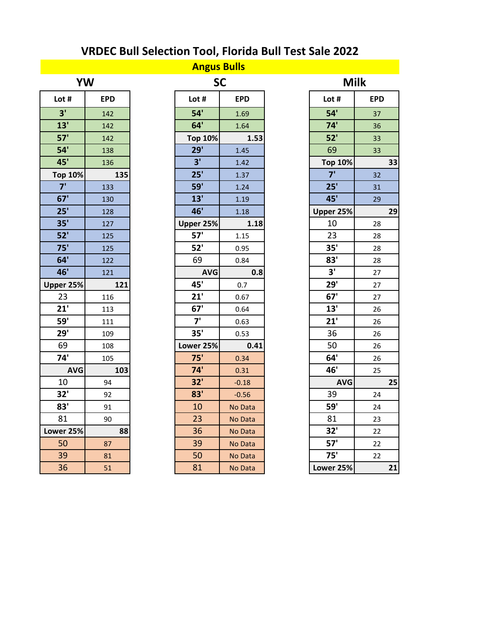| YW             |     |  |  |  |
|----------------|-----|--|--|--|
| Lot #          | EPD |  |  |  |
| 3'             | 142 |  |  |  |
| 13'            | 142 |  |  |  |
| 57'            | 142 |  |  |  |
| 54             | 138 |  |  |  |
| 45'            | 136 |  |  |  |
| <b>Top 10%</b> | 135 |  |  |  |
| 7'             | 133 |  |  |  |
| 67'            | 130 |  |  |  |
| 25'            | 128 |  |  |  |
| 35'            | 127 |  |  |  |
| 52'            | 125 |  |  |  |
| 75'            | 125 |  |  |  |
| 64'            | 122 |  |  |  |
| 46'            | 121 |  |  |  |
| Upper 25%      | 121 |  |  |  |
| 23             | 116 |  |  |  |
| 21'            | 113 |  |  |  |
|                |     |  |  |  |
| 59'            | 111 |  |  |  |
| 29'            | 109 |  |  |  |
| 69             | 108 |  |  |  |
| 74'            | 105 |  |  |  |
| <b>AVG</b>     | 103 |  |  |  |
| 10             | 94  |  |  |  |
| 32'            | 92  |  |  |  |
| 83'            | 91  |  |  |  |
| 81             | 90  |  |  |  |
| Lower 25%      | 88  |  |  |  |
| 50             | 87  |  |  |  |
| 39             | 81  |  |  |  |

| <b>Angus Bulls</b> |            |  |                |            |  |                |            |
|--------------------|------------|--|----------------|------------|--|----------------|------------|
|                    | <b>YW</b>  |  |                | <b>SC</b>  |  | <b>Milk</b>    |            |
| Lot #              | <b>EPD</b> |  | Lot #          | <b>EPD</b> |  | Lot #          | <b>EPD</b> |
| 3'                 | 142        |  | 54'            | 1.69       |  | 54'            | 37         |
| 13'                | 142        |  | 64'            | 1.64       |  | 74'            | 36         |
| 57'                | 142        |  | <b>Top 10%</b> | 1.53       |  | 52'            | 33         |
| 54'                | 138        |  | 29'            | 1.45       |  | 69             | 33         |
| 45'                | 136        |  | 3'             | 1.42       |  | <b>Top 10%</b> | 33         |
| <b>Top 10%</b>     | 135        |  | 25'            | 1.37       |  | 7'             | 32         |
| 7'                 | 133        |  | <b>59'</b>     | 1.24       |  | 25'            | 31         |
| 67'                | 130        |  | 13'            | 1.19       |  | 45'            | 29         |
| 25'                | 128        |  | 46'            | 1.18       |  | Upper 25%      | 29         |
| 35'                | 127        |  | Upper 25%      | 1.18       |  | 10             | 28         |
| 52'                | 125        |  | 57'            | 1.15       |  | 23             | 28         |
| 75'                | 125        |  | 52'            | 0.95       |  | 35'            | 28         |
| 64'                | 122        |  | 69             | 0.84       |  | 83'            | 28         |
| 46'                | 121        |  | <b>AVG</b>     | 0.8        |  | 3'             | 27         |
| Upper 25%          | 121        |  | 45'            | 0.7        |  | 29'            | 27         |
| 23                 | 116        |  | 21'            | 0.67       |  | 67'            | 27         |
| 21'                | 113        |  | 67'            | 0.64       |  | 13'            | 26         |
| <b>59'</b>         | 111        |  | 7'             | 0.63       |  | 21'            | 26         |
| 29'                | 109        |  | 35'            | 0.53       |  | 36             | 26         |
| 69                 | 108        |  | Lower 25%      | 0.41       |  | 50             | 26         |
| 74'                | 105        |  | 75'            | 0.34       |  | 64'            | 26         |
| <b>AVG</b>         | 103        |  | 74'            | 0.31       |  | 46'            | 25         |
| 10                 | 94         |  | 32'            | $-0.18$    |  | <b>AVG</b>     | 25         |
| 32'                | 92         |  | 83'            | $-0.56$    |  | 39             | 24         |
| 83'                | 91         |  | 10             | No Data    |  | <b>59'</b>     | 24         |
| 81                 | 90         |  | 23             | No Data    |  | 81             | 23         |
| Lower 25%          | 88         |  | 36             | No Data    |  | 32'            | 22         |
| 50                 | 87         |  | 39             | No Data    |  | 57'            | 22         |
| 39                 | 81         |  | 50             | No Data    |  | 75'            | 22         |
| 36                 | 51         |  | R <sub>1</sub> | No Data    |  | $I$ QWer $25%$ | 21         |

| <b>YW</b>      |            | <b>SC</b>      |            | <b>Milk</b>    |            |
|----------------|------------|----------------|------------|----------------|------------|
| ot #           | <b>EPD</b> | Lot #          | <b>EPD</b> | Lot #          | <b>EPD</b> |
| 3'             | 142        | 54'            | 1.69       | 54'            | 37         |
| 13'            | 142        | 64'            | 1.64       | 74'            | 36         |
| 57'            | 142        | <b>Top 10%</b> | 1.53       | 52'            | 33         |
| 54'            | 138        | 29'            | 1.45       | 69             | 33         |
| 45'            | 136        | 3'             | 1.42       | <b>Top 10%</b> | 33         |
| op 10%         | 135        | 25'            | 1.37       | 7'             | 32         |
| $\overline{7}$ | 133        | <b>59'</b>     | 1.24       | 25'            | 31         |
| 67'            | 130        | 13'            | 1.19       | 45'            | 29         |
| 25'            | 128        | 46'            | 1.18       | Upper 25%      | 29         |
| 35'            | 127        | Upper 25%      | 1.18       | 10             | 28         |
| 52'            | 125        | 57'            | 1.15       | 23             | 28         |
| 75'            | 125        | 52'            | 0.95       | 35'            | 28         |
| 64'            | 122        | 69             | 0.84       | 83'            | 28         |
| 46'            | 121        | <b>AVG</b>     | 0.8        | 3'             | 27         |
| er 25%         | 121        | 45'            | 0.7        | 29'            | 27         |
| 23             | 116        | 21'            | 0.67       | 67'            | 27         |
| 21'            | 113        | 67'            | 0.64       | 13'            | 26         |
| 59'            | 111        | 7'             | 0.63       | 21'            | 26         |
| 29'            | 109        | 35'            | 0.53       | 36             | 26         |
| 69             | 108        | Lower 25%      | 0.41       | 50             | 26         |
| 74'            | 105        | 75'            | 0.34       | 64'            | 26         |
| <b>AVG</b>     | 103        | 74'            | 0.31       | 46'            | 25         |
| 10             | 94         | 32'            | $-0.18$    | <b>AVG</b>     | 25         |
| 32'            | 92         | 83'            | $-0.56$    | 39             | 24         |
| 83'            | 91         | 10             | No Data    | <b>59'</b>     | 24         |
| 81             | 90         | 23             | No Data    | 81             | 23         |
| er 25%         | 88         | 36             | No Data    | 32'            | 22         |
| 50             | 87         | 39             | No Data    | 57'            | 22         |
| 39             | 81         | 50             | No Data    | 75'            | 22         |
| 36             | 51         | 81             | No Data    | Lower 25%      | 21         |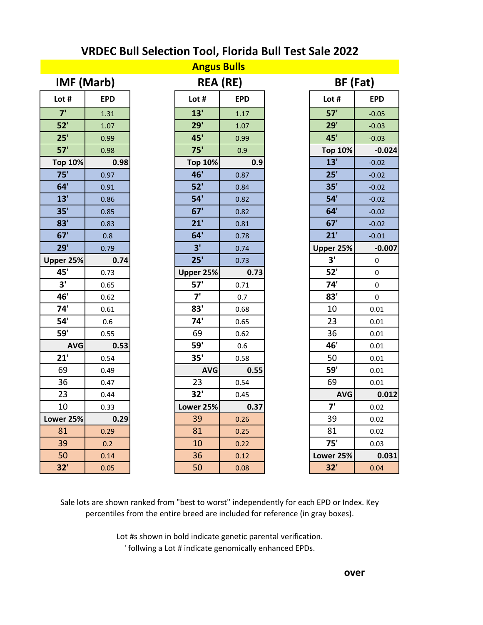| <b>Angus Bulls</b> |            |  |                |                 |  |                |            |  |
|--------------------|------------|--|----------------|-----------------|--|----------------|------------|--|
|                    | IMF (Marb) |  |                | <b>REA (RE)</b> |  |                | BF (Fat)   |  |
| Lot #              | <b>EPD</b> |  | Lot #          | <b>EPD</b>      |  | Lot #          | <b>EPD</b> |  |
| 7'                 | 1.31       |  | 13'            | 1.17            |  | 57'            | $-0.05$    |  |
| 52'                | 1.07       |  | 29'            | 1.07            |  | 29'            | $-0.03$    |  |
| 25'                | 0.99       |  | 45'            | 0.99            |  | 45'            | $-0.03$    |  |
| 57'                | 0.98       |  | 75'            | 0.9             |  | <b>Top 10%</b> | $-0.024$   |  |
| <b>Top 10%</b>     | 0.98       |  | <b>Top 10%</b> | 0.9             |  | 13'            | $-0.02$    |  |
| 75'                | 0.97       |  | 46'            | 0.87            |  | 25'            | $-0.02$    |  |
| 64'                | 0.91       |  | 52'            | 0.84            |  | 35'            | $-0.02$    |  |
| 13'                | 0.86       |  | 54'            | 0.82            |  | 54'            | $-0.02$    |  |
| 35'                | 0.85       |  | 67'            | 0.82            |  | 64'            | $-0.02$    |  |
| 83'                | 0.83       |  | 21'            | 0.81            |  | 67'            | $-0.02$    |  |
| 67'                | 0.8        |  | 64'            | 0.78            |  | 21'            | $-0.01$    |  |
| 29'                | 0.79       |  | 3'             | 0.74            |  | Upper 25%      | $-0.007$   |  |
| Upper 25%          | 0.74       |  | 25'            | 0.73            |  | 3'             | $\pmb{0}$  |  |
| 45'                | 0.73       |  | Upper 25%      | 0.73            |  | 52'            | 0          |  |
| 3'                 | 0.65       |  | 57'            | 0.71            |  | 74'            | 0          |  |
| 46'                | 0.62       |  | 7'             | 0.7             |  | 83'            | $\pmb{0}$  |  |
| 74'                | 0.61       |  | 83'            | 0.68            |  | 10             | 0.01       |  |
| 54'                | 0.6        |  | 74'            | 0.65            |  | 23             | 0.01       |  |
| <b>59'</b>         | 0.55       |  | 69             | 0.62            |  | 36             | 0.01       |  |
| <b>AVG</b>         | 0.53       |  | <b>59'</b>     | 0.6             |  | 46'            | 0.01       |  |
| 21'                | 0.54       |  | 35'            | 0.58            |  | 50             | 0.01       |  |
| 69                 | 0.49       |  | <b>AVG</b>     | 0.55            |  | <b>59'</b>     | 0.01       |  |
| 36                 | 0.47       |  | 23             | 0.54            |  | 69             | 0.01       |  |
| 23                 | 0.44       |  | 32'            | 0.45            |  | <b>AVG</b>     | 0.012      |  |
| 10                 | 0.33       |  | Lower 25%      | 0.37            |  | 7'             | 0.02       |  |
| Lower 25%          | 0.29       |  | 39             | 0.26            |  | 39             | 0.02       |  |
| 81                 | 0.29       |  | 81             | 0.25            |  | 81             | 0.02       |  |
| 39                 | 0.2        |  | 10             | 0.22            |  | 75'            | 0.03       |  |
| 50                 | 0.14       |  | 36             | 0.12            |  | Lower 25%      | 0.031      |  |
| 32'                | 0.05       |  | 50             | 0.08            |  | 32'            | 0.04       |  |

Sale lots are shown ranked from "best to worst" independently for each EPD or Index. Key percentiles from the entire breed are included for reference (in gray boxes).

> Lot #s shown in bold indicate genetic parental verification. ' follwing a Lot # indicate genomically enhanced EPDs.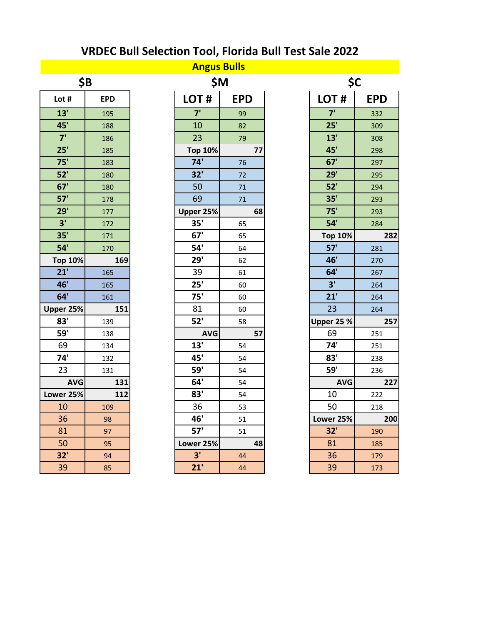| \$Β             |     |  |  |  |
|-----------------|-----|--|--|--|
| Lot #           | EPD |  |  |  |
| 13'             | 195 |  |  |  |
| 45'             | 188 |  |  |  |
| $\overline{7}$  | 186 |  |  |  |
| 25'             | 185 |  |  |  |
| 75'             | 183 |  |  |  |
| 52'             | 180 |  |  |  |
| 67'             | 180 |  |  |  |
| 57'             | 178 |  |  |  |
| 29'             | 177 |  |  |  |
| 3'              | 172 |  |  |  |
| 35 <sup>1</sup> | 171 |  |  |  |
| 54'             | 170 |  |  |  |
| <b>Top 10%</b>  | 169 |  |  |  |
| 21'             | 165 |  |  |  |
| 46'             | 165 |  |  |  |
| 64'             | 161 |  |  |  |
| Upper 25%       | 151 |  |  |  |
| 83'             | 139 |  |  |  |
| 59'             | 138 |  |  |  |
| 69              | 134 |  |  |  |
| 74'             | 132 |  |  |  |
| 23              | 131 |  |  |  |
| <b>AVG</b>      | 131 |  |  |  |
| Lower 25%       | 112 |  |  |  |
| 10              | 109 |  |  |  |
| 36              | 98  |  |  |  |
| 81              | 97  |  |  |  |
| 50              | 95  |  |  |  |
| 32'             | 94  |  |  |  |
| 39              | 85  |  |  |  |

| <b>Angus Bulls</b> |            |  |                |            |    |     |                   |            |
|--------------------|------------|--|----------------|------------|----|-----|-------------------|------------|
| \$B                |            |  | <b>\$M</b>     |            |    | \$C |                   |            |
| Lot #              | <b>EPD</b> |  | LOT#           | <b>EPD</b> |    |     | LOT#              | <b>EPD</b> |
| 13'                | 195        |  | 7'             | 99         |    |     | 7'                | 332        |
| 45'                | 188        |  | 10             | 82         |    |     | 25'               | 309        |
| 7'                 | 186        |  | 23             | 79         |    |     | 13'               | 308        |
| 25'                | 185        |  | <b>Top 10%</b> |            | 77 |     | 45'               | 298        |
| 75'                | 183        |  | 74'            | 76         |    |     | 67'               | 297        |
| 52'                | 180        |  | 32'            | 72         |    |     | 29'               | 295        |
| 67'                | 180        |  | 50             | 71         |    |     | 52'               | 294        |
| 57'                | 178        |  | 69             | 71         |    |     | 35'               | 293        |
| 29'                | 177        |  | Upper 25%      |            | 68 |     | 75'               | 293        |
| 3'                 | 172        |  | 35'            | 65         |    |     | 54'               | 284        |
| 35'                | 171        |  | 67'            | 65         |    |     | <b>Top 10%</b>    | 282        |
| 54'                | 170        |  | 54'            | 64         |    |     | 57'               | 281        |
| <b>Top 10%</b>     | 169        |  | 29'            | 62         |    |     | 46'               | 270        |
| 21'                | 165        |  | 39             | 61         |    |     | 64'               | 267        |
| 46'                | 165        |  | 25'            | 60         |    |     | 3'                | 264        |
| 64'                | 161        |  | 75'            | 60         |    |     | 21'               | 264        |
| Upper 25%          | 151        |  | 81             | 60         |    |     | 23                | 264        |
| 83'                | 139        |  | 52'            | 58         |    |     | <b>Upper 25 %</b> | 257        |
| <b>59'</b>         | 138        |  | <b>AVG</b>     |            | 57 |     | 69                | 251        |
| 69                 | 134        |  | 13'            | 54         |    |     | 74'               | 251        |
| 74'                | 132        |  | 45'            | 54         |    |     | 83'               | 238        |
| 23                 | 131        |  | <b>59'</b>     | 54         |    |     | <b>59'</b>        | 236        |
| <b>AVG</b>         | 131        |  | 64'            | 54         |    |     | <b>AVG</b>        | 227        |
| Lower 25%          | 112        |  | 83'            | 54         |    |     | 10                | 222        |
| 10                 | 109        |  | 36             | 53         |    |     | 50                | 218        |
| 36                 | 98         |  | 46'            | 51         |    |     | Lower 25%         | 200        |
| 81                 | 97         |  | 57'            | 51         |    |     | 32'               | 190        |
| 50                 | 95         |  | Lower 25%      |            | 48 |     | 81                | 185        |
| 32'                | 94         |  | 3'             | 44         |    |     | 36                | 179        |
| 39                 | 85         |  | 21'            | 44         |    |     | 39                | 173        |

|   | \$М        |                   | \$C        |
|---|------------|-------------------|------------|
|   | <b>EPD</b> | LOT#              | <b>EPD</b> |
|   | 99         | 7 <sup>1</sup>    | 332        |
|   | 82         | 25'               | 309        |
|   | 79         | 13'               | 308        |
| % | 77         | 45'               | 298        |
|   | 76         | 67'               | 297        |
|   | 72         | 29'               | 295        |
|   | 71         | 52'               | 294        |
|   | 71         | 35'               | 293        |
| % | 68         | 75'               | 293        |
|   | 65         | 54'               | 284        |
|   | 65         | <b>Top 10%</b>    | 282        |
|   | 64         | 57'               | 281        |
|   | 62         | 46'               | 270        |
|   | 61         | 64'               | 267        |
|   | 60         | 3'                | 264        |
|   | 60         | 21'               | 264        |
|   | 60         | 23                | 264        |
|   | 58         | <b>Upper 25 %</b> | 257        |
| G | 57         | 69                | 251        |
|   | 54         | 74'               | 251        |
|   | 54         | 83'               | 238        |
|   | 54         | <b>59'</b>        | 236        |
|   | 54         | <b>AVG</b>        | 227        |
|   | 54         | 10                | 222        |
|   | 53         | 50                | 218        |
|   | 51         | Lower 25%         | 200        |
|   | 51         | 32'               | 190        |
| % | 48         | 81                | 185        |
|   | 44         | 36                | 179        |
|   | 44         | 39                | 173        |